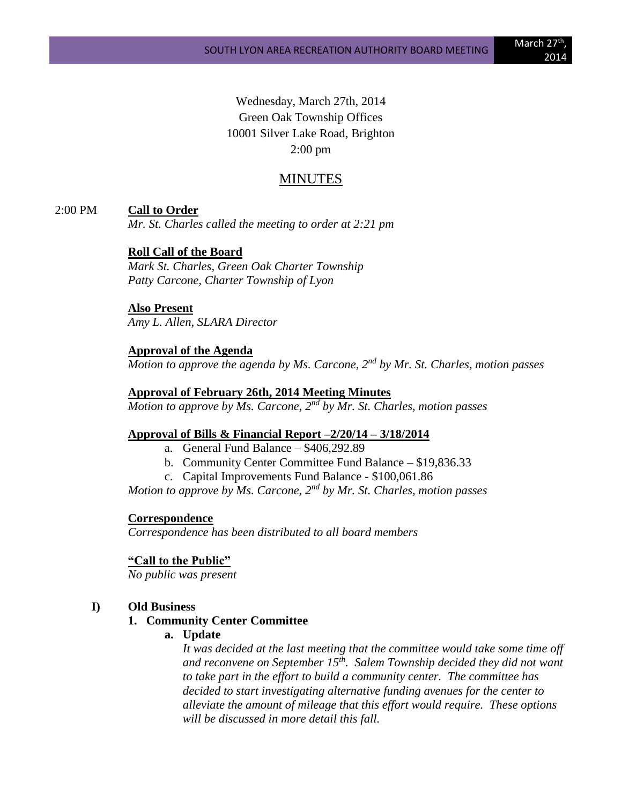Wednesday, March 27th, 2014 Green Oak Township Offices 10001 Silver Lake Road, Brighton 2:00 pm

# MINUTES

#### 2:00 PM **Call to Order**

*Mr. St. Charles called the meeting to order at 2:21 pm*

#### **Roll Call of the Board**

*Mark St. Charles, Green Oak Charter Township Patty Carcone, Charter Township of Lyon* 

## **Also Present**

*Amy L. Allen, SLARA Director*

#### **Approval of the Agenda**

*Motion to approve the agenda by Ms. Carcone, 2nd by Mr. St. Charles, motion passes*

# **Approval of February 26th, 2014 Meeting Minutes**

*Motion to approve by Ms. Carcone, 2nd by Mr. St. Charles, motion passes*

#### **Approval of Bills & Financial Report –2/20/14 – 3/18/2014**

- a. General Fund Balance \$406,292.89
- b. Community Center Committee Fund Balance \$19,836.33
- c. Capital Improvements Fund Balance \$100,061.86

*Motion to approve by Ms. Carcone, 2nd by Mr. St. Charles, motion passes*

# **Correspondence**

*Correspondence has been distributed to all board members*

#### **"Call to the Public"**

*No public was present*

#### **I) Old Business**

#### **1. Community Center Committee**

**a. Update**

*It was decided at the last meeting that the committee would take some time off and reconvene on September 15th. Salem Township decided they did not want to take part in the effort to build a community center. The committee has decided to start investigating alternative funding avenues for the center to alleviate the amount of mileage that this effort would require. These options will be discussed in more detail this fall.*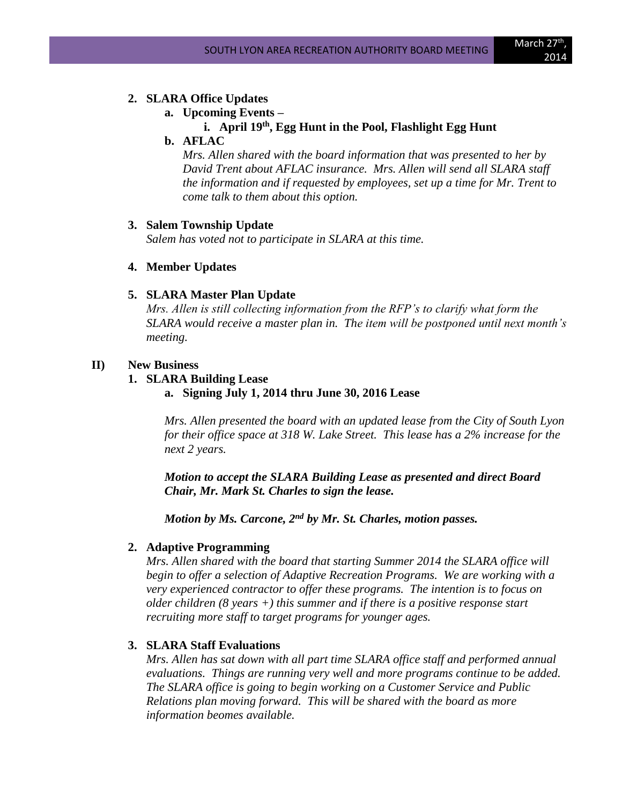# 2014

#### **2. SLARA Office Updates**

**a. Upcoming Events –**

# **i. April 19th, Egg Hunt in the Pool, Flashlight Egg Hunt**

**b. AFLAC**

*Mrs. Allen shared with the board information that was presented to her by David Trent about AFLAC insurance. Mrs. Allen will send all SLARA staff the information and if requested by employees, set up a time for Mr. Trent to come talk to them about this option.*

#### **3. Salem Township Update**

*Salem has voted not to participate in SLARA at this time.*

## **4. Member Updates**

## **5. SLARA Master Plan Update**

*Mrs. Allen is still collecting information from the RFP's to clarify what form the SLARA would receive a master plan in. The item will be postponed until next month's meeting.*

## **II) New Business**

## **1. SLARA Building Lease**

**a. Signing July 1, 2014 thru June 30, 2016 Lease**

*Mrs. Allen presented the board with an updated lease from the City of South Lyon for their office space at 318 W. Lake Street. This lease has a 2% increase for the next 2 years.*

*Motion to accept the SLARA Building Lease as presented and direct Board Chair, Mr. Mark St. Charles to sign the lease.*

*Motion by Ms. Carcone, 2nd by Mr. St. Charles, motion passes.*

# **2. Adaptive Programming**

*Mrs. Allen shared with the board that starting Summer 2014 the SLARA office will begin to offer a selection of Adaptive Recreation Programs. We are working with a very experienced contractor to offer these programs. The intention is to focus on older children (8 years +) this summer and if there is a positive response start recruiting more staff to target programs for younger ages.*

# **3. SLARA Staff Evaluations**

*Mrs. Allen has sat down with all part time SLARA office staff and performed annual evaluations. Things are running very well and more programs continue to be added. The SLARA office is going to begin working on a Customer Service and Public Relations plan moving forward. This will be shared with the board as more information beomes available.*